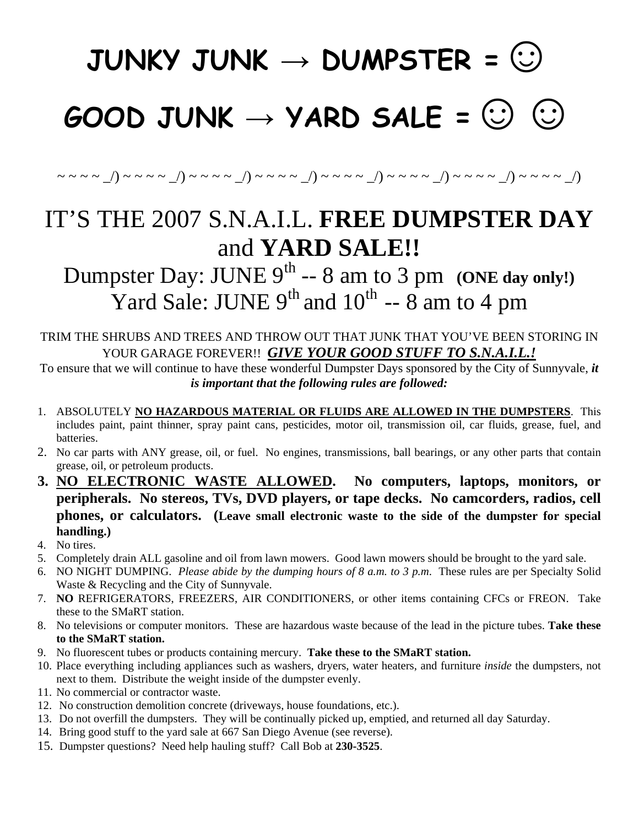## **JUNKY JUNK → DUMPSTER =☺**

## **GOOD JUNK → YARD SALE =☺☺**

 $\sim$  ~ ~ ~ \_/) ~ ~ ~ ~ \_/) ~ ~ ~ ~ \_/) ~ ~ ~ ~ \_/) ~ ~ ~ ~ ~ \_/) ~ ~ ~ ~ ~ \_/) ~ ~ ~ ~ ~ \_/)

## IT'S THE 2007 S.N.A.I.L. **FREE DUMPSTER DAY** and **YARD SALE!!**

Dumpster Day: JUNE  $9^{th}$  -- 8 am to 3 pm (ONE day only!) Yard Sale: JUNE  $9<sup>th</sup>$  and  $10<sup>th</sup>$  -- 8 am to 4 pm

TRIM THE SHRUBS AND TREES AND THROW OUT THAT JUNK THAT YOU'VE BEEN STORING IN YOUR GARAGE FOREVER!! *GIVE YOUR GOOD STUFF TO S.N.A.I.L.!*

To ensure that we will continue to have these wonderful Dumpster Days sponsored by the City of Sunnyvale, *it is important that the following rules are followed:* 

- 1. ABSOLUTELY **NO HAZARDOUS MATERIAL OR FLUIDS ARE ALLOWED IN THE DUMPSTERS**. This includes paint, paint thinner, spray paint cans, pesticides, motor oil, transmission oil, car fluids, grease, fuel, and batteries.
- 2. No car parts with ANY grease, oil, or fuel. No engines, transmissions, ball bearings, or any other parts that contain grease, oil, or petroleum products.
- **3. NO ELECTRONIC WASTE ALLOWED. No computers, laptops, monitors, or peripherals. No stereos, TVs, DVD players, or tape decks. No camcorders, radios, cell phones, or calculators. (Leave small electronic waste to the side of the dumpster for special handling.)**
- 4. No tires.
- 5. Completely drain ALL gasoline and oil from lawn mowers. Good lawn mowers should be brought to the yard sale.
- 6. NO NIGHT DUMPING. *Please abide by the dumping hours of 8 a.m. to 3 p.m*. These rules are per Specialty Solid Waste & Recycling and the City of Sunnyvale.
- 7. **NO** REFRIGERATORS, FREEZERS, AIR CONDITIONERS, or other items containing CFCs or FREON. Take these to the SMaRT station.
- 8. No televisions or computer monitors. These are hazardous waste because of the lead in the picture tubes. **Take these to the SMaRT station.**
- 9. No fluorescent tubes or products containing mercury. **Take these to the SMaRT station.**
- 10. Place everything including appliances such as washers, dryers, water heaters, and furniture *inside* the dumpsters, not next to them. Distribute the weight inside of the dumpster evenly.
- 11. No commercial or contractor waste.
- 12. No construction demolition concrete (driveways, house foundations, etc.).
- 13. Do not overfill the dumpsters. They will be continually picked up, emptied, and returned all day Saturday.
- 14. Bring good stuff to the yard sale at 667 San Diego Avenue (see reverse).
- 15. Dumpster questions? Need help hauling stuff? Call Bob at **230-3525**.